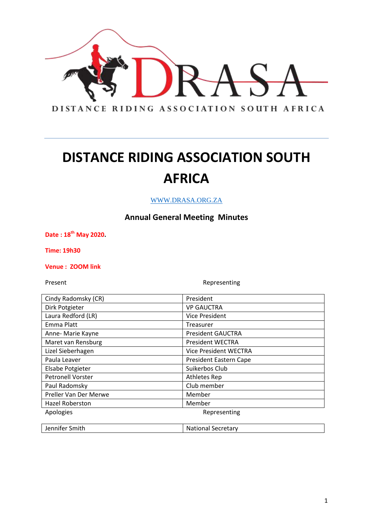

WWW.DRASA.ORG.ZA

### **Annual General Meeting Minutes**

**Date : 18th May 2020.**

**Time: 19h30**

**Venue : ZOOM link**

Present **Representing** 

| Cindy Radomsky (CR)      | President                    |
|--------------------------|------------------------------|
| Dirk Potgieter           | <b>VP GAUCTRA</b>            |
| Laura Redford (LR)       | Vice President               |
| Emma Platt               | Treasurer                    |
| Anne- Marie Kayne        | <b>President GAUCTRA</b>     |
| Maret van Rensburg       | <b>President WECTRA</b>      |
| Lizel Sieberhagen        | <b>Vice President WECTRA</b> |
| Paula Leaver             | President Eastern Cape       |
| <b>Elsabe Potgieter</b>  | Suikerbos Club               |
| <b>Petronell Vorster</b> | <b>Athletes Rep</b>          |
| Paul Radomsky            | Club member                  |
| Preller Van Der Merwe    | Member                       |
| <b>Hazel Roberston</b>   | Member                       |
| Apologies                | Representing                 |

| Jennifer Smith | <b>National Secretary</b> |
|----------------|---------------------------|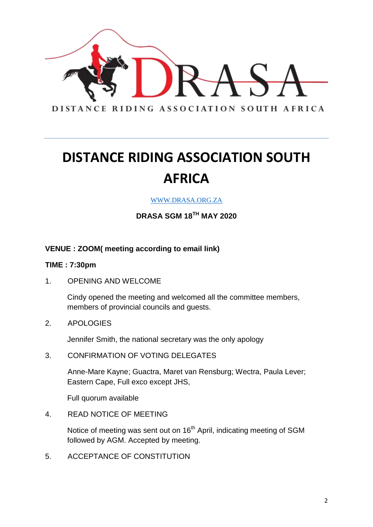

### WWW.DRASA.ORG.ZA

**DRASA SGM 18TH MAY 2020**

### **VENUE : ZOOM( meeting according to email link)**

#### **TIME : 7:30pm**

1. OPENING AND WELCOME

Cindy opened the meeting and welcomed all the committee members, members of provincial councils and guests.

2. APOLOGIES

Jennifer Smith, the national secretary was the only apology

3. CONFIRMATION OF VOTING DELEGATES

Anne-Mare Kayne; Guactra, Maret van Rensburg; Wectra, Paula Lever; Eastern Cape, Full exco except JHS,

Full quorum available

4. READ NOTICE OF MEETING

Notice of meeting was sent out on 16<sup>th</sup> April, indicating meeting of SGM followed by AGM. Accepted by meeting.

5. ACCEPTANCE OF CONSTITUTION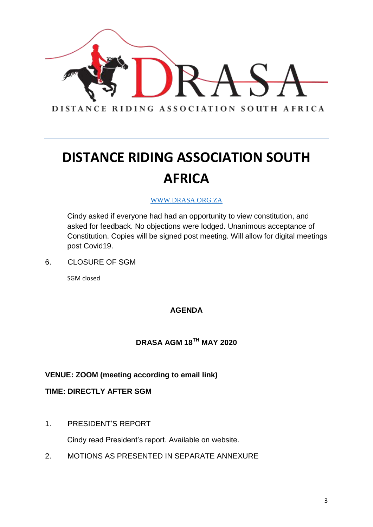

### WWW.DRASA.ORG.ZA

Cindy asked if everyone had had an opportunity to view constitution, and asked for feedback. No objections were lodged. Unanimous acceptance of Constitution. Copies will be signed post meeting. Will allow for digital meetings post Covid19.

6. CLOSURE OF SGM

SGM closed

### **AGENDA**

### **DRASA AGM 18TH MAY 2020**

### **VENUE: ZOOM (meeting according to email link)**

### **TIME: DIRECTLY AFTER SGM**

1. PRESIDENT'S REPORT

Cindy read President's report. Available on website.

2. MOTIONS AS PRESENTED IN SEPARATE ANNEXURE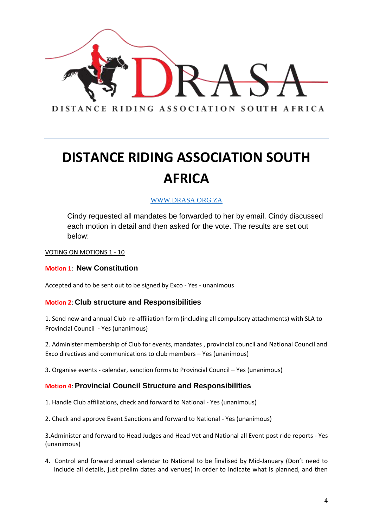

#### WWW.DRASA.ORG.ZA

Cindy requested all mandates be forwarded to her by email. Cindy discussed each motion in detail and then asked for the vote. The results are set out below:

VOTING ON MOTIONS 1 - 10

#### **Motion 1**: **New Constitution**

Accepted and to be sent out to be signed by Exco - Yes - unanimous

#### **Motion 2**: **Club structure and Responsibilities**

1. Send new and annual Club re-affiliation form (including all compulsory attachments) with SLA to Provincial Council - Yes (unanimous)

2. Administer membership of Club for events, mandates , provincial council and National Council and Exco directives and communications to club members – Yes (unanimous)

3. Organise events - calendar, sanction forms to Provincial Council – Yes (unanimous)

#### **Motion 4**: **Provincial Council Structure and Responsibilities**

- 1. Handle Club affiliations, check and forward to National Yes (unanimous)
- 2. Check and approve Event Sanctions and forward to National Yes (unanimous)

3.Administer and forward to Head Judges and Head Vet and National all Event post ride reports - Yes (unanimous)

4. Control and forward annual calendar to National to be finalised by Mid-January (Don't need to include all details, just prelim dates and venues) in order to indicate what is planned, and then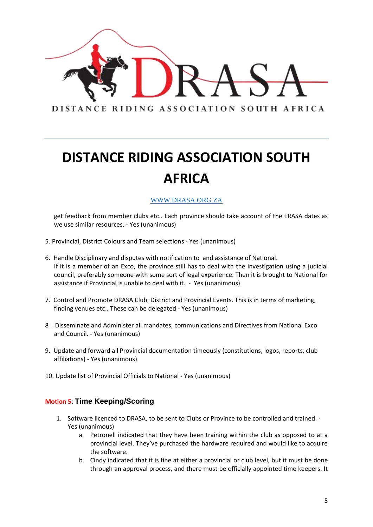

#### WWW.DRASA.ORG.ZA

get feedback from member clubs etc.. Each province should take account of the ERASA dates as we use similar resources. - Yes (unanimous)

- 5. Provincial, District Colours and Team selections Yes (unanimous)
- 6. Handle Disciplinary and disputes with notification to and assistance of National. If it is a member of an Exco, the province still has to deal with the investigation using a judicial council, preferably someone with some sort of legal experience. Then it is brought to National for assistance if Provincial is unable to deal with it. - Yes (unanimous)
- 7. Control and Promote DRASA Club, District and Provincial Events. This is in terms of marketing, finding venues etc.. These can be delegated - Yes (unanimous)
- 8 . Disseminate and Administer all mandates, communications and Directives from National Exco and Council. - Yes (unanimous)
- 9. Update and forward all Provincial documentation timeously (constitutions, logos, reports, club affiliations) - Yes (unanimous)
- 10. Update list of Provincial Officials to National Yes (unanimous)

#### **Motion 5**: **Time Keeping/Scoring**

- 1. Software licenced to DRASA, to be sent to Clubs or Province to be controlled and trained. Yes (unanimous)
	- a. Petronell indicated that they have been training within the club as opposed to at a provincial level. They've purchased the hardware required and would like to acquire the software.
	- b. Cindy indicated that it is fine at either a provincial or club level, but it must be done through an approval process, and there must be officially appointed time keepers. It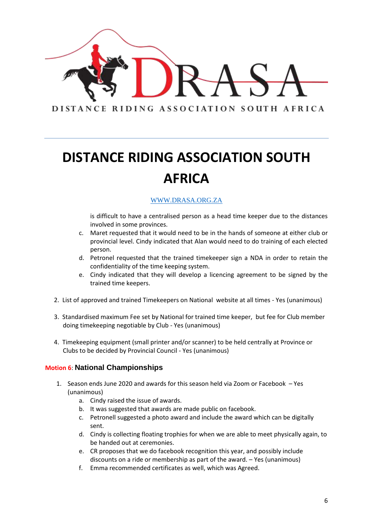

#### WWW.DRASA.ORG.ZA

is difficult to have a centralised person as a head time keeper due to the distances involved in some provinces.

- c. Maret requested that it would need to be in the hands of someone at either club or provincial level. Cindy indicated that Alan would need to do training of each elected person.
- d. Petronel requested that the trained timekeeper sign a NDA in order to retain the confidentiality of the time keeping system.
- e. Cindy indicated that they will develop a licencing agreement to be signed by the trained time keepers.
- 2. List of approved and trained Timekeepers on National website at all times Yes (unanimous)
- 3. Standardised maximum Fee set by National for trained time keeper, but fee for Club member doing timekeeping negotiable by Club - Yes (unanimous)
- 4. Timekeeping equipment (small printer and/or scanner) to be held centrally at Province or Clubs to be decided by Provincial Council - Yes (unanimous)

#### **Motion 6**: **National Championships**

- 1. Season ends June 2020 and awards for this season held via Zoom or Facebook Yes (unanimous)
	- a. Cindy raised the issue of awards.
	- b. It was suggested that awards are made public on facebook.
	- c. Petronell suggested a photo award and include the award which can be digitally sent.
	- d. Cindy is collecting floating trophies for when we are able to meet physically again, to be handed out at ceremonies.
	- e. CR proposes that we do facebook recognition this year, and possibly include discounts on a ride or membership as part of the award. – Yes (unanimous)
	- f. Emma recommended certificates as well, which was Agreed.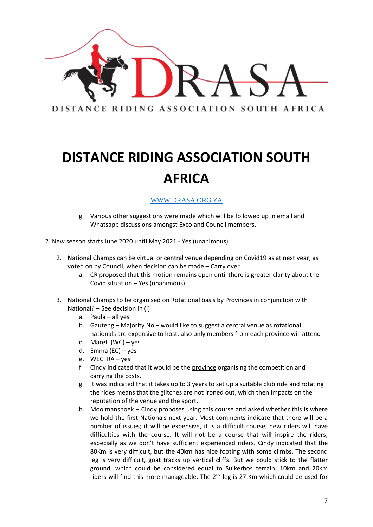

#### WWW.DRASA.ORG.ZA

- g. Various other suggestions were made which will be followed up in email and Whatsapp discussions amongst Exco and Council members.
- 2. New season starts June 2020 until May 2021 Yes (unanimous)
	- 2. National Champs can be virtual or central venue depending on Covid19 as at next year, as voted on by Council, when decision can be made – Carry over
		- a. CR proposed that this motion remains open until there is greater clarity about the Covid situation – Yes (unanimous)
	- 3. National Champs to be organised on Rotational basis by Provinces in conjunction with National? – See decision in (i)
		- a. Paula all yes
		- b. Gauteng Majority No would like to suggest a central venue as rotational nationals are expensive to host, also only members from each province will attend
		- c. Maret (WC) yes
		- d. Emma (EC) yes
		- e. WECTRA yes
		- f. Cindy indicated that it would be the province organising the competition and carrying the costs.
		- g. It was indicated that it takes up to 3 years to set up a suitable club ride and rotating the rides means that the glitches are not ironed out, which then impacts on the reputation of the venue and the sport.
		- h. Moolmanshoek Cindy proposes using this course and asked whether this is where we hold the first Nationals next year. Most comments indicate that there will be a number of issues; it will be expensive, it is a difficult course, new riders will have difficulties with the course. It will not be a course that will inspire the riders, especially as we don't have sufficient experienced riders. Cindy indicated that the 80Km is very difficult, but the 40km has nice footing with some climbs. The second leg is very difficult, goat tracks up vertical cliffs. But we could stick to the flatter ground, which could be considered equal to Suikerbos terrain. 10km and 20km riders will find this more manageable. The 2<sup>nd</sup> leg is 27 Km which could be used for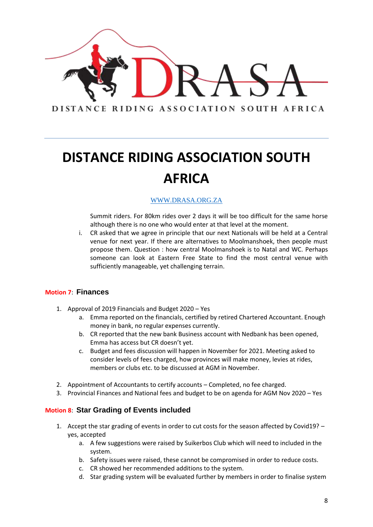

#### WWW.DRASA.ORG.ZA

Summit riders. For 80km rides over 2 days it will be too difficult for the same horse although there is no one who would enter at that level at the moment.

i. CR asked that we agree in principle that our next Nationals will be held at a Central venue for next year. If there are alternatives to Moolmanshoek, then people must propose them. Question : how central Moolmanshoek is to Natal and WC. Perhaps someone can look at Eastern Free State to find the most central venue with sufficiently manageable, yet challenging terrain.

#### **Motion 7**: **Finances**

- 1. Approval of 2019 Financials and Budget 2020 Yes
	- a. Emma reported on the financials, certified by retired Chartered Accountant. Enough money in bank, no regular expenses currently.
	- b. CR reported that the new bank Business account with Nedbank has been opened, Emma has access but CR doesn't yet.
	- c. Budget and fees discussion will happen in November for 2021. Meeting asked to consider levels of fees charged, how provinces will make money, levies at rides, members or clubs etc. to be discussed at AGM in November.
- 2. Appointment of Accountants to certify accounts Completed, no fee charged.
- 3. Provincial Finances and National fees and budget to be on agenda for AGM Nov 2020 Yes

#### **Motion 8**: **Star Grading of Events included**

- 1. Accept the star grading of events in order to cut costs for the season affected by Covid19? yes, accepted
	- a. A few suggestions were raised by Suikerbos Club which will need to included in the system.
	- b. Safety issues were raised, these cannot be compromised in order to reduce costs.
	- c. CR showed her recommended additions to the system.
	- d. Star grading system will be evaluated further by members in order to finalise system